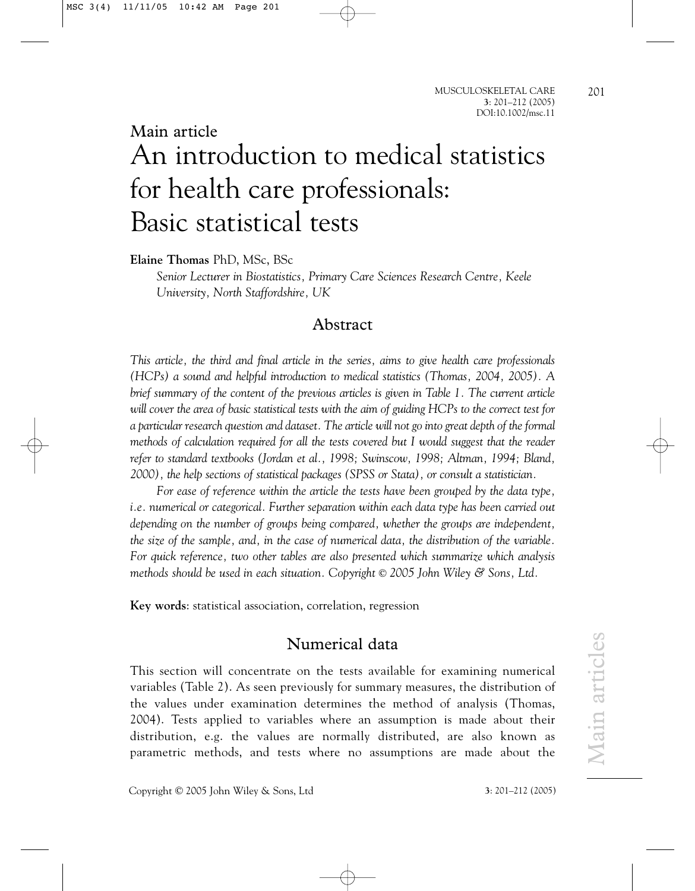201

# Main article An introduction to medical statistics for health care professionals: Basic statistical tests

**Elaine Thomas** PhD, MSc, BSc

*Senior Lecturer in Biostatistics, Primary Care Sciences Research Centre, Keele University, North Staffordshire, UK*

## Abstract

*This article, the third and final article in the series, aims to give health care professionals (HCPs) a sound and helpful introduction to medical statistics (Thomas, 2004, 2005). A brief summary of the content of the previous articles is given in Table 1. The current article will cover the area of basic statistical tests with the aim of guiding HCPs to the correct test for a particular research question and dataset. The article will not go into great depth of the formal methods of calculation required for all the tests covered but I would suggest that the reader refer to standard textbooks (Jordan et al., 1998; Swinscow, 1998; Altman, 1994; Bland, 2000), the help sections of statistical packages (SPSS or Stata), or consult a statistician.*

*For ease of reference within the article the tests have been grouped by the data type, i.e. numerical or categorical. Further separation within each data type has been carried out depending on the number of groups being compared, whether the groups are independent, the size of the sample, and, in the case of numerical data, the distribution of the variable. For quick reference, two other tables are also presented which summarize which analysis methods should be used in each situation. Copyright* © *2005 John Wiley & Sons, Ltd.*

**Key words**: statistical association, correlation, regression

## Numerical data

This section will concentrate on the tests available for examining numerical variables (Table 2). As seen previously for summary measures, the distribution of the values under examination determines the method of analysis (Thomas, 2004). Tests applied to variables where an assumption is made about their distribution, e.g. the values are normally distributed, are also known as parametric methods, and tests where no assumptions are made about the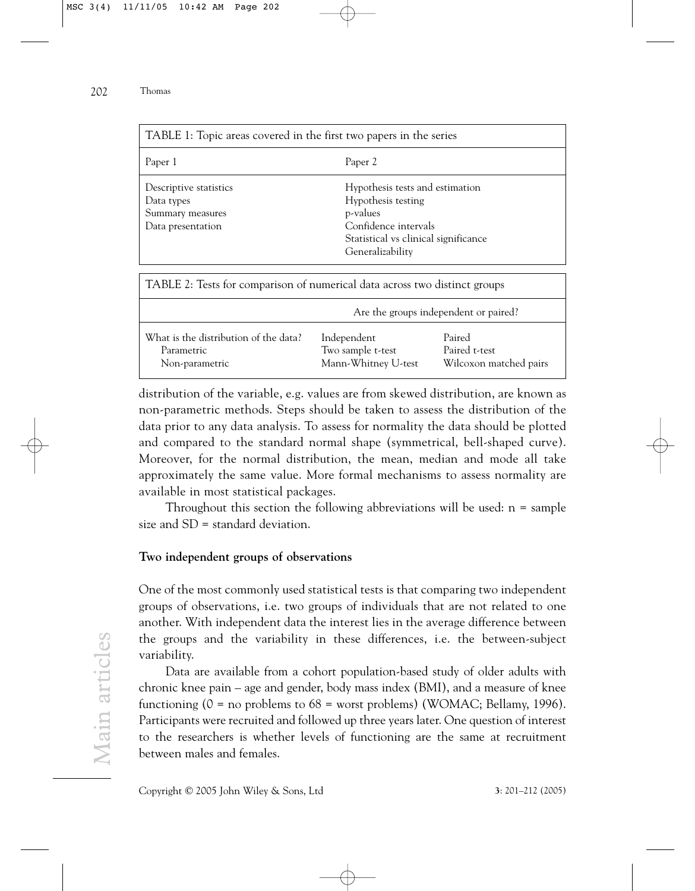| TABLE 1: Topic areas covered in the first two papers in the series            |                                                                                                                                                       |  |  |  |
|-------------------------------------------------------------------------------|-------------------------------------------------------------------------------------------------------------------------------------------------------|--|--|--|
| Paper 1                                                                       | Paper 2                                                                                                                                               |  |  |  |
| Descriptive statistics<br>Data types<br>Summary measures<br>Data presentation | Hypothesis tests and estimation<br>Hypothesis testing<br>p-values<br>Confidence intervals<br>Statistical vs clinical significance<br>Generalizability |  |  |  |

| TABLE 2: Tests for comparison of numerical data across two distinct groups |                                                         |                                                   |  |  |  |  |  |
|----------------------------------------------------------------------------|---------------------------------------------------------|---------------------------------------------------|--|--|--|--|--|
| Are the groups independent or paired?                                      |                                                         |                                                   |  |  |  |  |  |
| What is the distribution of the data?<br>Parametric<br>Non-parametric      | Independent<br>Two sample t-test<br>Mann-Whitney U-test | Paired<br>Paired t-test<br>Wilcoxon matched pairs |  |  |  |  |  |

distribution of the variable, e.g. values are from skewed distribution, are known as non-parametric methods. Steps should be taken to assess the distribution of the data prior to any data analysis. To assess for normality the data should be plotted and compared to the standard normal shape (symmetrical, bell-shaped curve). Moreover, for the normal distribution, the mean, median and mode all take approximately the same value. More formal mechanisms to assess normality are available in most statistical packages.

Throughout this section the following abbreviations will be used:  $n =$  sample size and SD = standard deviation.

#### **Two independent groups of observations**

One of the most commonly used statistical tests is that comparing two independent groups of observations, i.e. two groups of individuals that are not related to one another. With independent data the interest lies in the average difference between the groups and the variability in these differences, i.e. the between-subject variability.

Data are available from a cohort population-based study of older adults with chronic knee pain – age and gender, body mass index (BMI), and a measure of knee functioning ( $0 =$  no problems to  $68 =$  worst problems) (WOMAC; Bellamy, 1996). Participants were recruited and followed up three years later. One question of interest to the researchers is whether levels of functioning are the same at recruitment between males and females.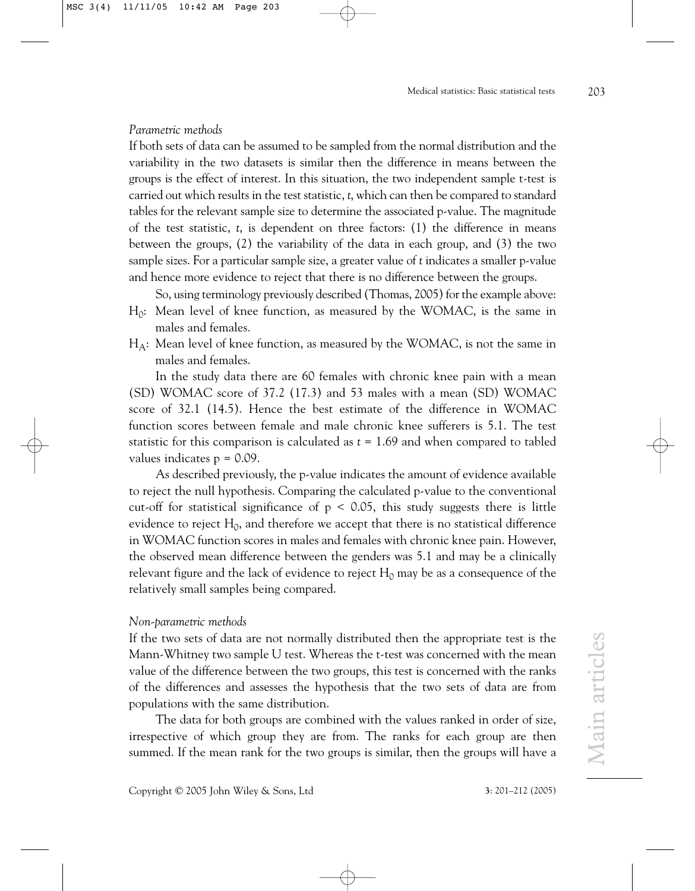## *Parametric methods*

If both sets of data can be assumed to be sampled from the normal distribution and the variability in the two datasets is similar then the difference in means between the groups is the effect of interest. In this situation, the two independent sample t-test is carried out which results in the test statistic, *t*, which can then be compared to standard tables for the relevant sample size to determine the associated p-value. The magnitude of the test statistic, *t*, is dependent on three factors: (1) the difference in means between the groups, (2) the variability of the data in each group, and (3) the two sample sizes. For a particular sample size, a greater value of *t* indicates a smaller p-value and hence more evidence to reject that there is no difference between the groups.

So, using terminology previously described (Thomas, 2005) for the example above:

- $H_0$ : Mean level of knee function, as measured by the WOMAC, is the same in males and females.
- $H_A$ : Mean level of knee function, as measured by the WOMAC, is not the same in males and females.

In the study data there are 60 females with chronic knee pain with a mean (SD) WOMAC score of 37.2 (17.3) and 53 males with a mean (SD) WOMAC score of 32.1 (14.5). Hence the best estimate of the difference in WOMAC function scores between female and male chronic knee sufferers is 5.1. The test statistic for this comparison is calculated as *t* = 1.69 and when compared to tabled values indicates  $p = 0.09$ .

As described previously, the p-value indicates the amount of evidence available to reject the null hypothesis. Comparing the calculated p-value to the conventional cut-off for statistical significance of  $p \le 0.05$ , this study suggests there is little evidence to reject  $\mathrm{H}_0$ , and therefore we accept that there is no statistical difference in WOMAC function scores in males and females with chronic knee pain. However, the observed mean difference between the genders was 5.1 and may be a clinically relevant figure and the lack of evidence to reject  $H_0$  may be as a consequence of the relatively small samples being compared.

#### *Non-parametric methods*

If the two sets of data are not normally distributed then the appropriate test is the Mann-Whitney two sample U test. Whereas the t-test was concerned with the mean value of the difference between the two groups, this test is concerned with the ranks of the differences and assesses the hypothesis that the two sets of data are from populations with the same distribution.

The data for both groups are combined with the values ranked in order of size, irrespective of which group they are from. The ranks for each group are then summed. If the mean rank for the two groups is similar, then the groups will have a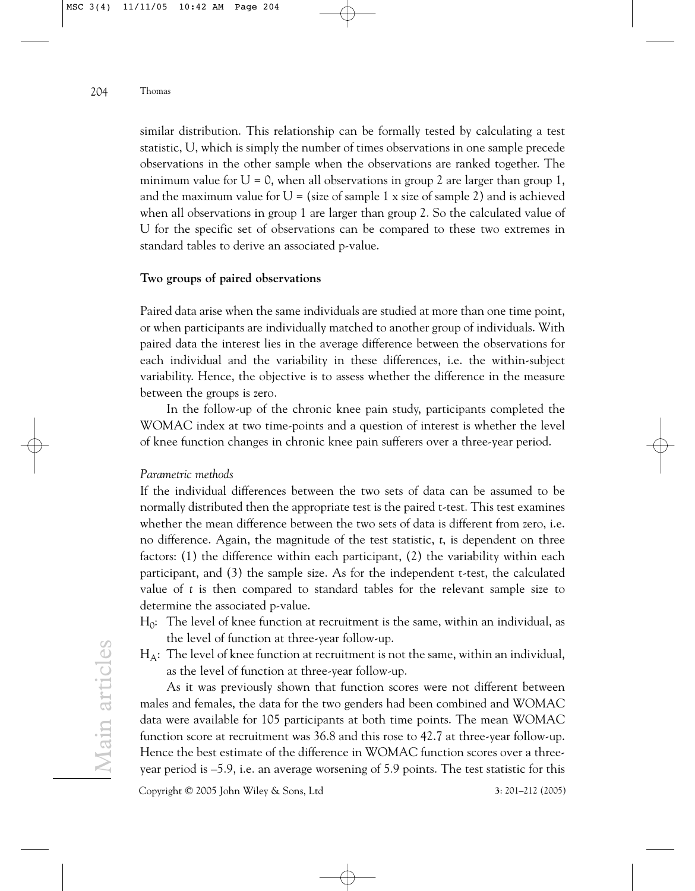similar distribution. This relationship can be formally tested by calculating a test statistic, U, which is simply the number of times observations in one sample precede observations in the other sample when the observations are ranked together. The minimum value for  $U = 0$ , when all observations in group 2 are larger than group 1, and the maximum value for  $U = (size of sample 1 x size of sample 2)$  and is achieved when all observations in group 1 are larger than group 2. So the calculated value of U for the specific set of observations can be compared to these two extremes in standard tables to derive an associated p-value.

#### **Two groups of paired observations**

Paired data arise when the same individuals are studied at more than one time point, or when participants are individually matched to another group of individuals. With paired data the interest lies in the average difference between the observations for each individual and the variability in these differences, i.e. the within-subject variability. Hence, the objective is to assess whether the difference in the measure between the groups is zero.

In the follow-up of the chronic knee pain study, participants completed the WOMAC index at two time-points and a question of interest is whether the level of knee function changes in chronic knee pain sufferers over a three-year period.

#### *Parametric methods*

If the individual differences between the two sets of data can be assumed to be normally distributed then the appropriate test is the paired t-test. This test examines whether the mean difference between the two sets of data is different from zero, i.e. no difference. Again, the magnitude of the test statistic, *t*, is dependent on three factors: (1) the difference within each participant, (2) the variability within each participant, and (3) the sample size. As for the independent t-test, the calculated value of *t* is then compared to standard tables for the relevant sample size to determine the associated p-value.

- $\rm H_0$ : The level of knee function at recruitment is the same, within an individual, as the level of function at three-year follow-up.
- $H_A$ : The level of knee function at recruitment is not the same, within an individual, as the level of function at three-year follow-up.

As it was previously shown that function scores were not different between males and females, the data for the two genders had been combined and WOMAC data were available for 105 participants at both time points. The mean WOMAC function score at recruitment was 36.8 and this rose to 42.7 at three-year follow-up. Hence the best estimate of the difference in WOMAC function scores over a threeyear period is –5.9, i.e. an average worsening of 5.9 points. The test statistic for this

Copyright © 2005 John Wiley & Sons, Ltd **3**: 201–212 (2005)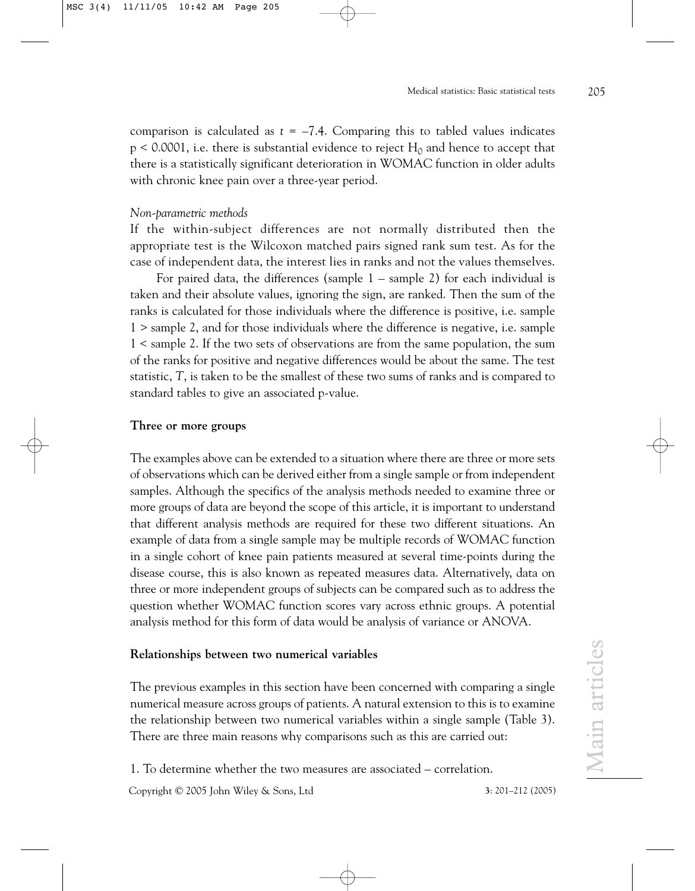comparison is calculated as  $t = -7.4$ . Comparing this to tabled values indicates p < 0.0001, i.e. there is substantial evidence to reject  $\rm H_{0}$  and hence to accept that there is a statistically significant deterioration in WOMAC function in older adults with chronic knee pain over a three-year period.

#### *Non-parametric methods*

If the within-subject differences are not normally distributed then the appropriate test is the Wilcoxon matched pairs signed rank sum test. As for the case of independent data, the interest lies in ranks and not the values themselves.

For paired data, the differences (sample 1 – sample 2) for each individual is taken and their absolute values, ignoring the sign, are ranked. Then the sum of the ranks is calculated for those individuals where the difference is positive, i.e. sample 1 > sample 2, and for those individuals where the difference is negative, i.e. sample 1 < sample 2. If the two sets of observations are from the same population, the sum of the ranks for positive and negative differences would be about the same. The test statistic, *T*, is taken to be the smallest of these two sums of ranks and is compared to standard tables to give an associated p-value.

#### **Three or more groups**

The examples above can be extended to a situation where there are three or more sets of observations which can be derived either from a single sample or from independent samples. Although the specifics of the analysis methods needed to examine three or more groups of data are beyond the scope of this article, it is important to understand that different analysis methods are required for these two different situations. An example of data from a single sample may be multiple records of WOMAC function in a single cohort of knee pain patients measured at several time-points during the disease course, this is also known as repeated measures data. Alternatively, data on three or more independent groups of subjects can be compared such as to address the question whether WOMAC function scores vary across ethnic groups. A potential analysis method for this form of data would be analysis of variance or ANOVA.

## **Relationships between two numerical variables**

The previous examples in this section have been concerned with comparing a single numerical measure across groups of patients. A natural extension to this is to examine the relationship between two numerical variables within a single sample (Table 3). There are three main reasons why comparisons such as this are carried out:

1. To determine whether the two measures are associated – correlation.

Copyright © 2005 John Wiley & Sons, Ltd **3**: 201–212 (2005)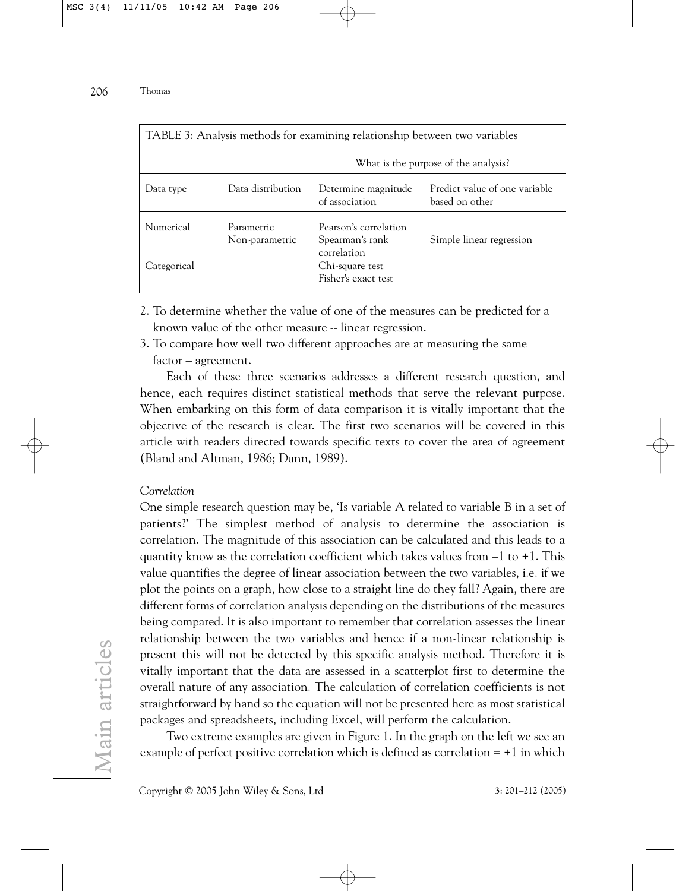| TABLE 3: Analysis methods for examining relationship between two variables |                              |                                                       |                                                 |  |  |  |  |
|----------------------------------------------------------------------------|------------------------------|-------------------------------------------------------|-------------------------------------------------|--|--|--|--|
|                                                                            |                              | What is the purpose of the analysis?                  |                                                 |  |  |  |  |
| Data type                                                                  | Data distribution            | Determine magnitude<br>of association                 | Predict value of one variable<br>based on other |  |  |  |  |
| Numerical                                                                  | Parametric<br>Non-parametric | Pearson's correlation<br>Spearman's rank              | Simple linear regression                        |  |  |  |  |
| Categorical                                                                |                              | correlation<br>Chi-square test<br>Fisher's exact test |                                                 |  |  |  |  |

- 2. To determine whether the value of one of the measures can be predicted for a
	- known value of the other measure linear regression.
- 3. To compare how well two different approaches are at measuring the same factor – agreement.

Each of these three scenarios addresses a different research question, and hence, each requires distinct statistical methods that serve the relevant purpose. When embarking on this form of data comparison it is vitally important that the objective of the research is clear. The first two scenarios will be covered in this article with readers directed towards specific texts to cover the area of agreement (Bland and Altman, 1986; Dunn, 1989).

#### *Correlation*

One simple research question may be, 'Is variable A related to variable B in a set of patients?' The simplest method of analysis to determine the association is correlation. The magnitude of this association can be calculated and this leads to a quantity know as the correlation coefficient which takes values from  $-1$  to  $+1$ . This value quantifies the degree of linear association between the two variables, i.e. if we plot the points on a graph, how close to a straight line do they fall? Again, there are different forms of correlation analysis depending on the distributions of the measures being compared. It is also important to remember that correlation assesses the linear relationship between the two variables and hence if a non-linear relationship is present this will not be detected by this specific analysis method. Therefore it is vitally important that the data are assessed in a scatterplot first to determine the overall nature of any association. The calculation of correlation coefficients is not straightforward by hand so the equation will not be presented here as most statistical packages and spreadsheets, including Excel, will perform the calculation.

Two extreme examples are given in Figure 1. In the graph on the left we see an example of perfect positive correlation which is defined as correlation = +1 in which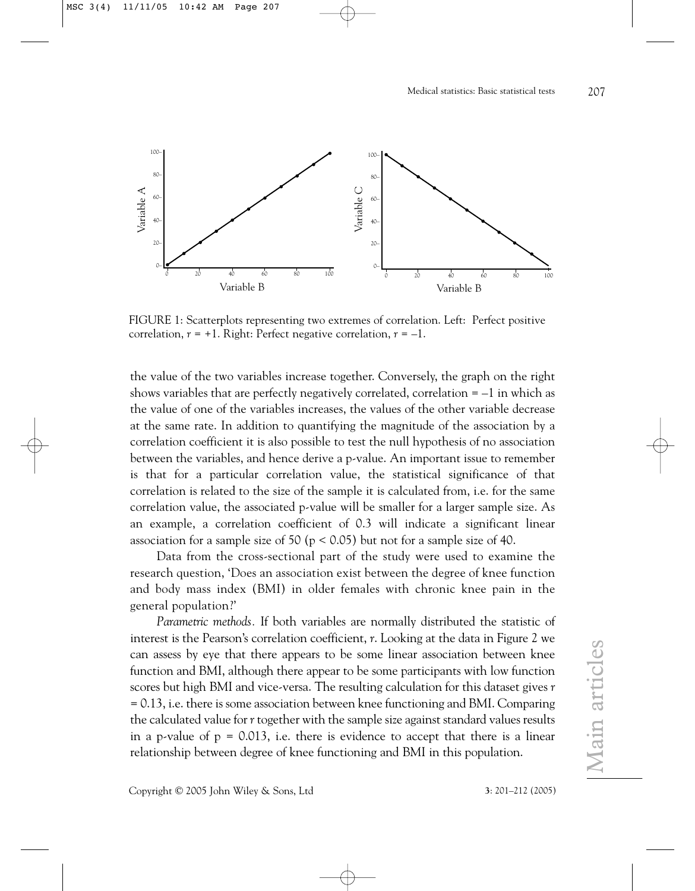

FIGURE 1: Scatterplots representing two extremes of correlation. Left: Perfect positive correlation,  $r = +1$ . Right: Perfect negative correlation,  $r = -1$ .

the value of the two variables increase together. Conversely, the graph on the right shows variables that are perfectly negatively correlated, correlation  $= -1$  in which as the value of one of the variables increases, the values of the other variable decrease at the same rate. In addition to quantifying the magnitude of the association by a correlation coefficient it is also possible to test the null hypothesis of no association between the variables, and hence derive a p-value. An important issue to remember is that for a particular correlation value, the statistical significance of that correlation is related to the size of the sample it is calculated from, i.e. for the same correlation value, the associated p-value will be smaller for a larger sample size. As an example, a correlation coefficient of 0.3 will indicate a significant linear association for a sample size of 50 ( $p < 0.05$ ) but not for a sample size of 40.

Data from the cross-sectional part of the study were used to examine the research question, 'Does an association exist between the degree of knee function and body mass index (BMI) in older females with chronic knee pain in the general population?'

*Parametric methods.* If both variables are normally distributed the statistic of interest is the Pearson's correlation coefficient, *r*. Looking at the data in Figure 2 we can assess by eye that there appears to be some linear association between knee function and BMI, although there appear to be some participants with low function scores but high BMI and vice-versa. The resulting calculation for this dataset gives *r* = 0.13, i.e. there is some association between knee functioning and BMI. Comparing the calculated value for *r* together with the sample size against standard values results in a p-value of  $p = 0.013$ , i.e. there is evidence to accept that there is a linear relationship between degree of knee functioning and BMI in this population.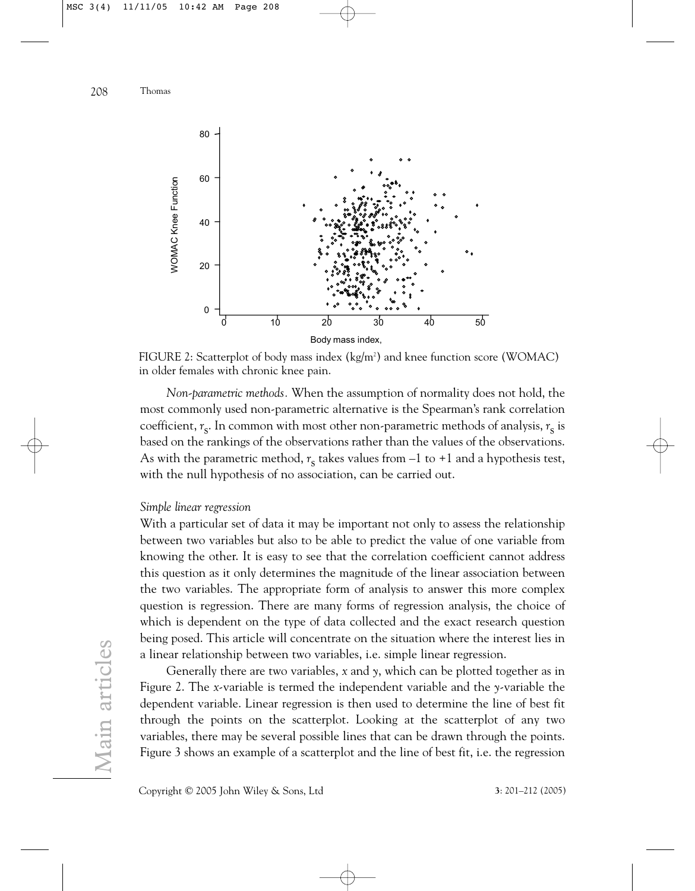

FIGURE 2: Scatterplot of body mass index (kg/m²) and knee function score (WOMAC) in older females with chronic knee pain.

*Non-parametric methods.* When the assumption of normality does not hold, the most commonly used non-parametric alternative is the Spearman's rank correlation coefficient, *r* s . In common with most other non-parametric methods of analysis, *r* s is based on the rankings of the observations rather than the values of the observations. As with the parametric method,  $r_s$  takes values from –1 to +1 and a hypothesis test, with the null hypothesis of no association, can be carried out.

#### *Simple linear regression*

With a particular set of data it may be important not only to assess the relationship between two variables but also to be able to predict the value of one variable from knowing the other. It is easy to see that the correlation coefficient cannot address this question as it only determines the magnitude of the linear association between the two variables. The appropriate form of analysis to answer this more complex question is regression. There are many forms of regression analysis, the choice of which is dependent on the type of data collected and the exact research question being posed. This article will concentrate on the situation where the interest lies in a linear relationship between two variables, i.e. simple linear regression.

Generally there are two variables, *x* and *y*, which can be plotted together as in Figure 2. The *x*-variable is termed the independent variable and the *y*-variable the dependent variable. Linear regression is then used to determine the line of best fit through the points on the scatterplot. Looking at the scatterplot of any two variables, there may be several possible lines that can be drawn through the points. Figure 3 shows an example of a scatterplot and the line of best fit, i.e. the regression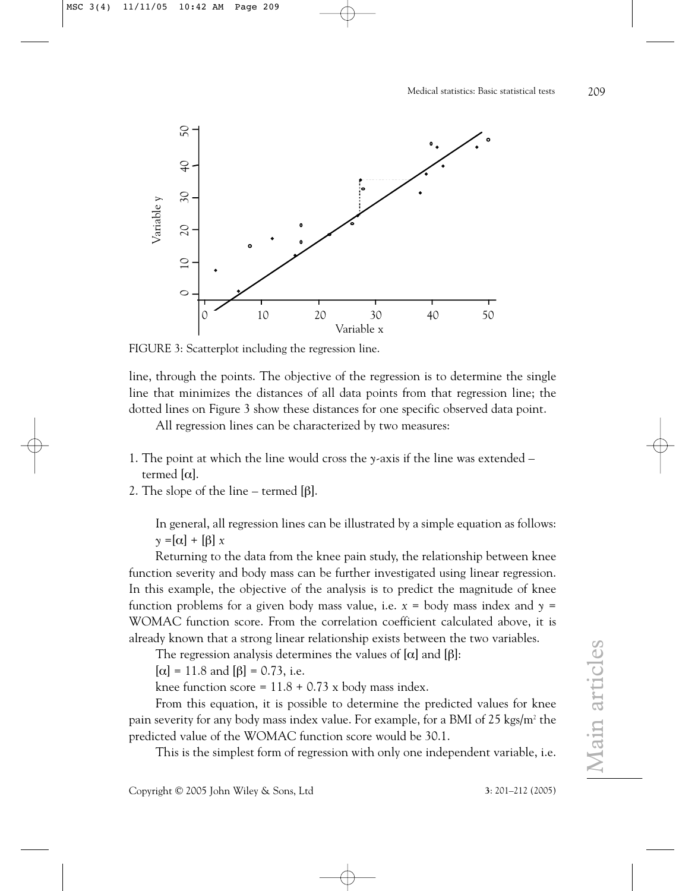

line, through the points. The objective of the regression is to determine the single line that minimizes the distances of all data points from that regression line; the dotted lines on Figure 3 show these distances for one specific observed data point.

All regression lines can be characterized by two measures:

- 1. The point at which the line would cross the *y*-axis if the line was extended termed [α].
- 2. The slope of the line termed  $[\beta]$ .

In general, all regression lines can be illustrated by a simple equation as follows:  $\gamma = [\alpha] + [\beta] x$ 

Returning to the data from the knee pain study, the relationship between knee function severity and body mass can be further investigated using linear regression. In this example, the objective of the analysis is to predict the magnitude of knee function problems for a given body mass value, i.e.  $x =$  body mass index and  $y =$ WOMAC function score. From the correlation coefficient calculated above, it is already known that a strong linear relationship exists between the two variables.

The regression analysis determines the values of  $[\alpha]$  and  $[\beta]$ :

 $[\alpha] = 11.8$  and  $[\beta] = 0.73$ , i.e.

knee function score =  $11.8 + 0.73$  x body mass index.

From this equation, it is possible to determine the predicted values for knee pain severity for any body mass index value. For example, for a BMI of 25 kgs/m<sup>2</sup> the predicted value of the WOMAC function score would be 30.1.

This is the simplest form of regression with only one independent variable, i.e.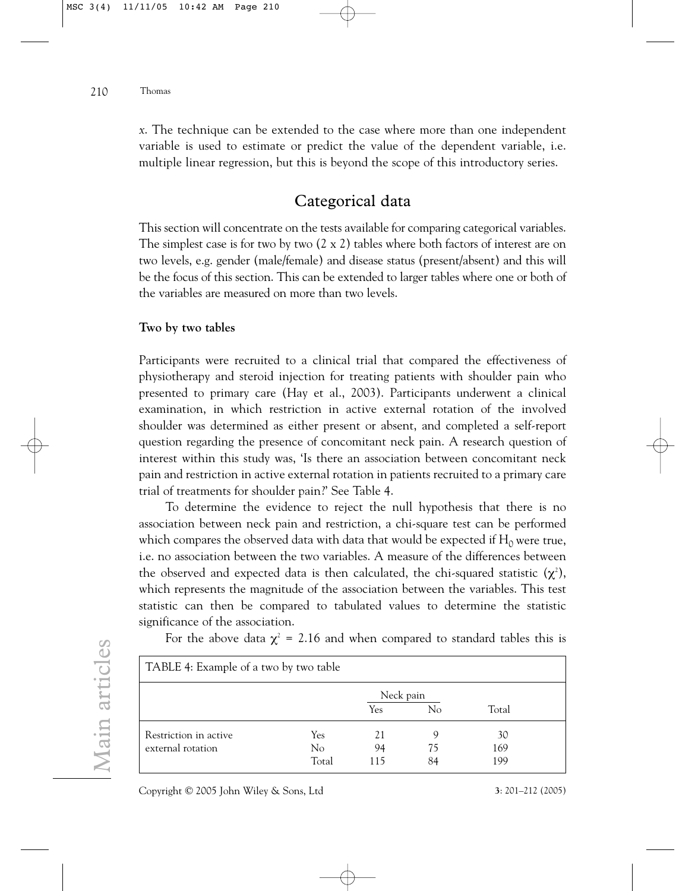*x*. The technique can be extended to the case where more than one independent variable is used to estimate or predict the value of the dependent variable, i.e. multiple linear regression, but this is beyond the scope of this introductory series.

# Categorical data

This section will concentrate on the tests available for comparing categorical variables. The simplest case is for two by two  $(2 \times 2)$  tables where both factors of interest are on two levels, e.g. gender (male/female) and disease status (present/absent) and this will be the focus of this section. This can be extended to larger tables where one or both of the variables are measured on more than two levels.

#### **Two by two tables**

Participants were recruited to a clinical trial that compared the effectiveness of physiotherapy and steroid injection for treating patients with shoulder pain who presented to primary care (Hay et al., 2003). Participants underwent a clinical examination, in which restriction in active external rotation of the involved shoulder was determined as either present or absent, and completed a self-report question regarding the presence of concomitant neck pain. A research question of interest within this study was, 'Is there an association between concomitant neck pain and restriction in active external rotation in patients recruited to a primary care trial of treatments for shoulder pain?' See Table 4.

To determine the evidence to reject the null hypothesis that there is no association between neck pain and restriction, a chi-square test can be performed which compares the observed data with data that would be expected if  $H_0$  were true, i.e. no association between the two variables. A measure of the differences between the observed and expected data is then calculated, the chi-squared statistic ( $\chi^{\scriptscriptstyle 2}$ ), which represents the magnitude of the association between the variables. This test statistic can then be compared to tabulated values to determine the statistic significance of the association.

| TABLE 4: Example of a two by two table     |                    |                  |               |                  |  |  |  |
|--------------------------------------------|--------------------|------------------|---------------|------------------|--|--|--|
|                                            |                    | Neck pain<br>Yes | No            | Total            |  |  |  |
| Restriction in active<br>external rotation | Yes<br>No<br>Total | 21<br>94<br>115  | 9<br>75<br>84 | 30<br>169<br>199 |  |  |  |

For the above data  $\chi^{\scriptscriptstyle 2}$  = 2.16 and when compared to standard tables this is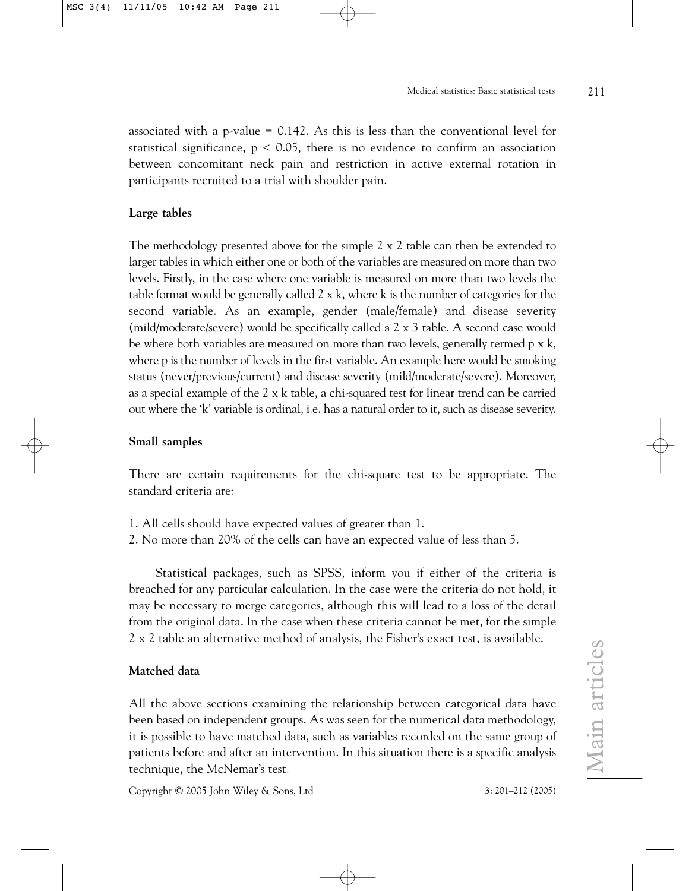associated with a p-value  $= 0.142$ . As this is less than the conventional level for statistical significance,  $p < 0.05$ , there is no evidence to confirm an association between concomitant neck pain and restriction in active external rotation in participants recruited to a trial with shoulder pain.

#### **Large tables**

The methodology presented above for the simple  $2 \times 2$  table can then be extended to larger tables in which either one or both of the variables are measured on more than two levels. Firstly, in the case where one variable is measured on more than two levels the table format would be generally called 2 x k, where k is the number of categories for the second variable. As an example, gender (male/female) and disease severity (mild/moderate/severe) would be specifically called a 2 x 3 table. A second case would be where both variables are measured on more than two levels, generally termed p x k, where p is the number of levels in the first variable. An example here would be smoking status (never/previous/current) and disease severity (mild/moderate/severe). Moreover, as a special example of the 2 x k table, a chi-squared test for linear trend can be carried out where the 'k' variable is ordinal, i.e. has a natural order to it, such as disease severity.

#### **Small samples**

There are certain requirements for the chi-square test to be appropriate. The standard criteria are:

- 1. All cells should have expected values of greater than 1.
- 2. No more than 20% of the cells can have an expected value of less than 5.

Statistical packages, such as SPSS, inform you if either of the criteria is breached for any particular calculation. In the case were the criteria do not hold, it may be necessary to merge categories, although this will lead to a loss of the detail from the original data. In the case when these criteria cannot be met, for the simple 2 x 2 table an alternative method of analysis, the Fisher's exact test, is available.

## **Matched data**

All the above sections examining the relationship between categorical data have been based on independent groups. As was seen for the numerical data methodology, it is possible to have matched data, such as variables recorded on the same group of patients before and after an intervention. In this situation there is a specific analysis technique, the McNemar's test.

Copyright © 2005 John Wiley & Sons, Ltd **3**: 201–212 (2005)